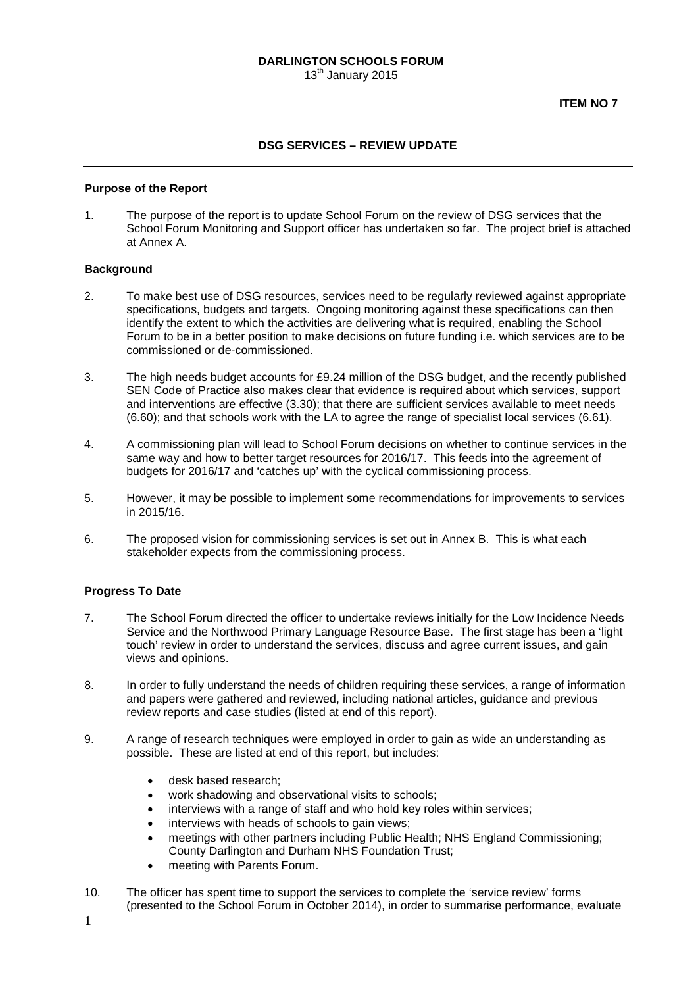**ITEM NO 7** 

### **DSG SERVICES – REVIEW UPDATE**

#### **Purpose of the Report**

1. The purpose of the report is to update School Forum on the review of DSG services that the School Forum Monitoring and Support officer has undertaken so far. The project brief is attached at Annex A.

#### **Background**

- 2. To make best use of DSG resources, services need to be regularly reviewed against appropriate specifications, budgets and targets. Ongoing monitoring against these specifications can then identify the extent to which the activities are delivering what is required, enabling the School Forum to be in a better position to make decisions on future funding i.e. which services are to be commissioned or de-commissioned.
- 3. The high needs budget accounts for £9.24 million of the DSG budget, and the recently published SEN Code of Practice also makes clear that evidence is required about which services, support and interventions are effective (3.30); that there are sufficient services available to meet needs (6.60); and that schools work with the LA to agree the range of specialist local services (6.61).
- 4. A commissioning plan will lead to School Forum decisions on whether to continue services in the same way and how to better target resources for 2016/17. This feeds into the agreement of budgets for 2016/17 and 'catches up' with the cyclical commissioning process.
- 5. However, it may be possible to implement some recommendations for improvements to services in 2015/16.
- 6. The proposed vision for commissioning services is set out in Annex B. This is what each stakeholder expects from the commissioning process.

#### **Progress To Date**

- 7. The School Forum directed the officer to undertake reviews initially for the Low Incidence Needs Service and the Northwood Primary Language Resource Base. The first stage has been a 'light touch' review in order to understand the services, discuss and agree current issues, and gain views and opinions.
- 8. In order to fully understand the needs of children requiring these services, a range of information and papers were gathered and reviewed, including national articles, guidance and previous review reports and case studies (listed at end of this report).
- 9. A range of research techniques were employed in order to gain as wide an understanding as possible. These are listed at end of this report, but includes:
	- desk based research;
	- work shadowing and observational visits to schools;
	- interviews with a range of staff and who hold key roles within services;
	- interviews with heads of schools to gain views;
	- meetings with other partners including Public Health; NHS England Commissioning; County Darlington and Durham NHS Foundation Trust;
	- meeting with Parents Forum.
- 10. The officer has spent time to support the services to complete the 'service review' forms (presented to the School Forum in October 2014), in order to summarise performance, evaluate
- 1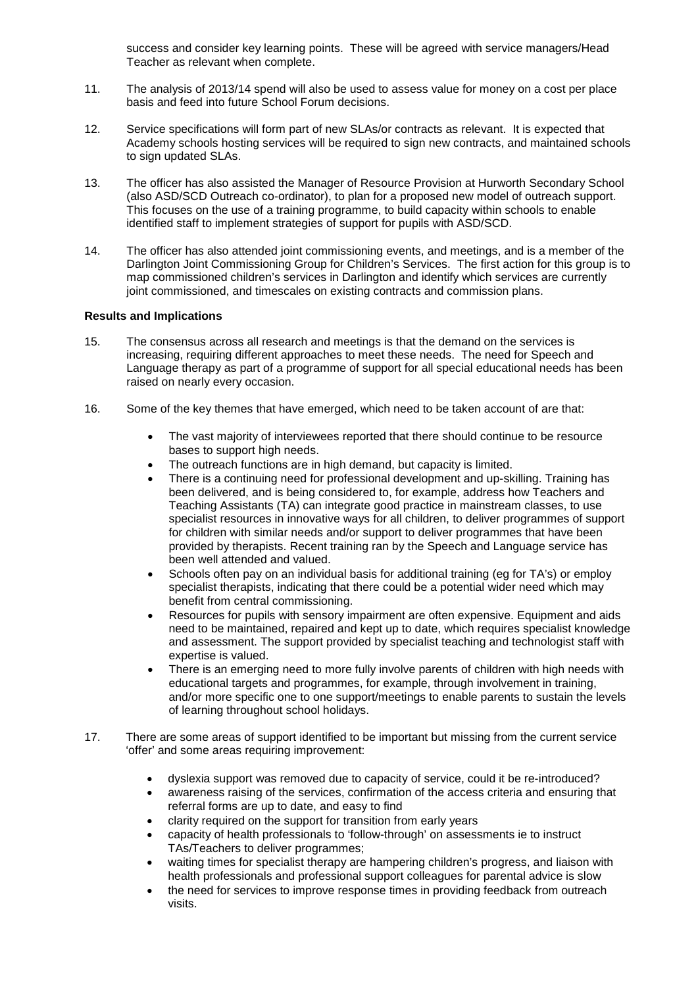success and consider key learning points. These will be agreed with service managers/Head Teacher as relevant when complete.

- 11. The analysis of 2013/14 spend will also be used to assess value for money on a cost per place basis and feed into future School Forum decisions.
- 12. Service specifications will form part of new SLAs/or contracts as relevant. It is expected that Academy schools hosting services will be required to sign new contracts, and maintained schools to sign updated SLAs.
- 13. The officer has also assisted the Manager of Resource Provision at Hurworth Secondary School (also ASD/SCD Outreach co-ordinator), to plan for a proposed new model of outreach support. This focuses on the use of a training programme, to build capacity within schools to enable identified staff to implement strategies of support for pupils with ASD/SCD.
- 14. The officer has also attended joint commissioning events, and meetings, and is a member of the Darlington Joint Commissioning Group for Children's Services. The first action for this group is to map commissioned children's services in Darlington and identify which services are currently joint commissioned, and timescales on existing contracts and commission plans.

#### **Results and Implications**

- 15. The consensus across all research and meetings is that the demand on the services is increasing, requiring different approaches to meet these needs. The need for Speech and Language therapy as part of a programme of support for all special educational needs has been raised on nearly every occasion.
- 16. Some of the key themes that have emerged, which need to be taken account of are that:
	- The vast majority of interviewees reported that there should continue to be resource bases to support high needs.
	- The outreach functions are in high demand, but capacity is limited.
	- There is a continuing need for professional development and up-skilling. Training has been delivered, and is being considered to, for example, address how Teachers and Teaching Assistants (TA) can integrate good practice in mainstream classes, to use specialist resources in innovative ways for all children, to deliver programmes of support for children with similar needs and/or support to deliver programmes that have been provided by therapists. Recent training ran by the Speech and Language service has been well attended and valued.
	- Schools often pay on an individual basis for additional training (eg for TA's) or employ specialist therapists, indicating that there could be a potential wider need which may benefit from central commissioning.
	- Resources for pupils with sensory impairment are often expensive. Equipment and aids need to be maintained, repaired and kept up to date, which requires specialist knowledge and assessment. The support provided by specialist teaching and technologist staff with expertise is valued.
	- There is an emerging need to more fully involve parents of children with high needs with educational targets and programmes, for example, through involvement in training, and/or more specific one to one support/meetings to enable parents to sustain the levels of learning throughout school holidays.
- 17. There are some areas of support identified to be important but missing from the current service 'offer' and some areas requiring improvement:
	- dyslexia support was removed due to capacity of service, could it be re-introduced?
	- awareness raising of the services, confirmation of the access criteria and ensuring that referral forms are up to date, and easy to find
	- clarity required on the support for transition from early years
	- capacity of health professionals to 'follow-through' on assessments ie to instruct TAs/Teachers to deliver programmes;
	- waiting times for specialist therapy are hampering children's progress, and liaison with health professionals and professional support colleagues for parental advice is slow
	- the need for services to improve response times in providing feedback from outreach visits.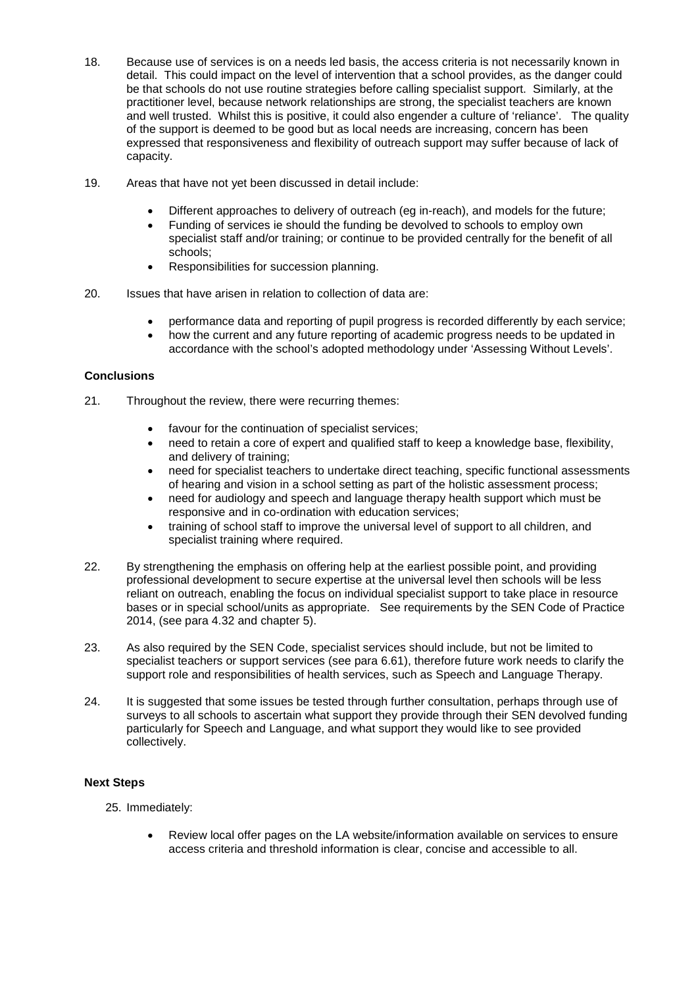- 18. Because use of services is on a needs led basis, the access criteria is not necessarily known in detail. This could impact on the level of intervention that a school provides, as the danger could be that schools do not use routine strategies before calling specialist support. Similarly, at the practitioner level, because network relationships are strong, the specialist teachers are known and well trusted. Whilst this is positive, it could also engender a culture of 'reliance'. The quality of the support is deemed to be good but as local needs are increasing, concern has been expressed that responsiveness and flexibility of outreach support may suffer because of lack of capacity.
- 19. Areas that have not yet been discussed in detail include:
	- Different approaches to delivery of outreach (eg in-reach), and models for the future;
	- Funding of services ie should the funding be devolved to schools to employ own specialist staff and/or training; or continue to be provided centrally for the benefit of all schools;
	- Responsibilities for succession planning.
- 20. Issues that have arisen in relation to collection of data are:
	- performance data and reporting of pupil progress is recorded differently by each service;
	- how the current and any future reporting of academic progress needs to be updated in accordance with the school's adopted methodology under 'Assessing Without Levels'.

# **Conclusions**

- 21. Throughout the review, there were recurring themes:
	- favour for the continuation of specialist services;
	- need to retain a core of expert and qualified staff to keep a knowledge base, flexibility, and delivery of training;
	- need for specialist teachers to undertake direct teaching, specific functional assessments of hearing and vision in a school setting as part of the holistic assessment process;
	- need for audiology and speech and language therapy health support which must be responsive and in co-ordination with education services;
	- training of school staff to improve the universal level of support to all children, and specialist training where required.
- 22. By strengthening the emphasis on offering help at the earliest possible point, and providing professional development to secure expertise at the universal level then schools will be less reliant on outreach, enabling the focus on individual specialist support to take place in resource bases or in special school/units as appropriate. See requirements by the SEN Code of Practice 2014, (see para 4.32 and chapter 5).
- 23. As also required by the SEN Code, specialist services should include, but not be limited to specialist teachers or support services (see para 6.61), therefore future work needs to clarify the support role and responsibilities of health services, such as Speech and Language Therapy.
- 24. It is suggested that some issues be tested through further consultation, perhaps through use of surveys to all schools to ascertain what support they provide through their SEN devolved funding particularly for Speech and Language, and what support they would like to see provided collectively.

# **Next Steps**

- 25. Immediately:
	- Review local offer pages on the LA website/information available on services to ensure access criteria and threshold information is clear, concise and accessible to all.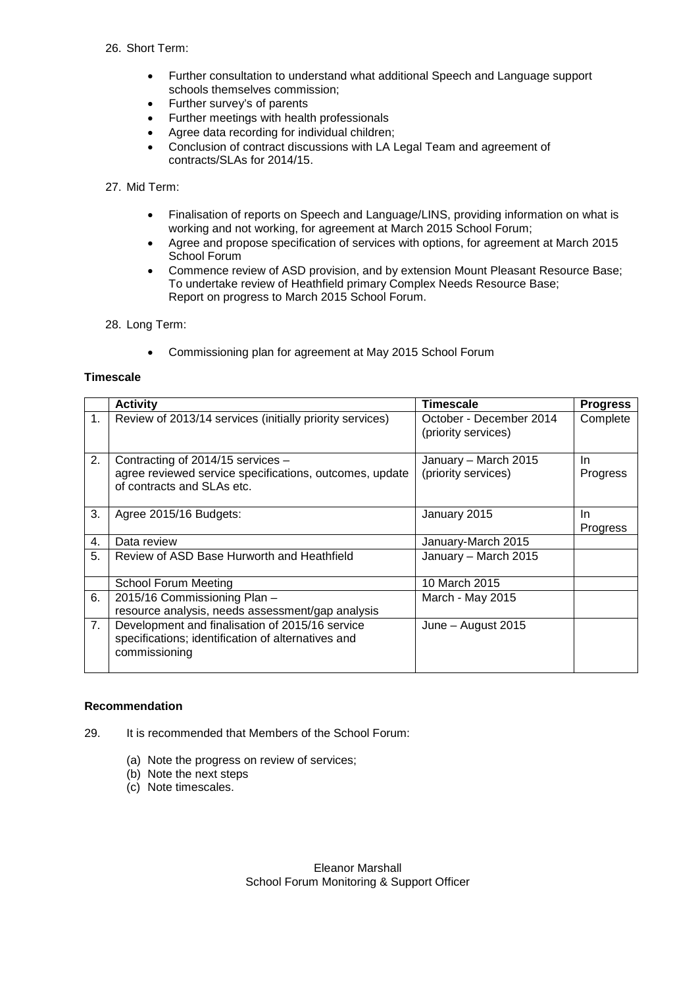### 26. Short Term:

- Further consultation to understand what additional Speech and Language support schools themselves commission;
- Further survey's of parents
- Further meetings with health professionals
- Agree data recording for individual children;
- Conclusion of contract discussions with LA Legal Team and agreement of contracts/SLAs for 2014/15.

## 27. Mid Term:

- Finalisation of reports on Speech and Language/LINS, providing information on what is working and not working, for agreement at March 2015 School Forum;
- Agree and propose specification of services with options, for agreement at March 2015 School Forum
- Commence review of ASD provision, and by extension Mount Pleasant Resource Base; To undertake review of Heathfield primary Complex Needs Resource Base; Report on progress to March 2015 School Forum.

28. Long Term:

• Commissioning plan for agreement at May 2015 School Forum

### **Timescale**

|                | <b>Activity</b>                                                                                                            | <b>Timescale</b>                               | <b>Progress</b> |
|----------------|----------------------------------------------------------------------------------------------------------------------------|------------------------------------------------|-----------------|
| $\mathbf{1}$ . | Review of 2013/14 services (initially priority services)                                                                   | October - December 2014<br>(priority services) | Complete        |
| 2.             | Contracting of 2014/15 services -<br>agree reviewed service specifications, outcomes, update<br>of contracts and SLAs etc. | January - March 2015<br>(priority services)    | In<br>Progress  |
| 3.             | Agree 2015/16 Budgets:                                                                                                     | January 2015                                   | In.<br>Progress |
| 4.             | Data review                                                                                                                | January-March 2015                             |                 |
| 5.             | Review of ASD Base Hurworth and Heathfield                                                                                 | January - March 2015                           |                 |
|                | School Forum Meeting                                                                                                       | 10 March 2015                                  |                 |
| 6.             | 2015/16 Commissioning Plan -<br>resource analysis, needs assessment/gap analysis                                           | March - May 2015                               |                 |
| 7.             | Development and finalisation of 2015/16 service<br>specifications; identification of alternatives and<br>commissioning     | June - August 2015                             |                 |

### **Recommendation**

- 29. It is recommended that Members of the School Forum:
	- (a) Note the progress on review of services;
	- (b) Note the next steps
	- (c) Note timescales.

Eleanor Marshall School Forum Monitoring & Support Officer